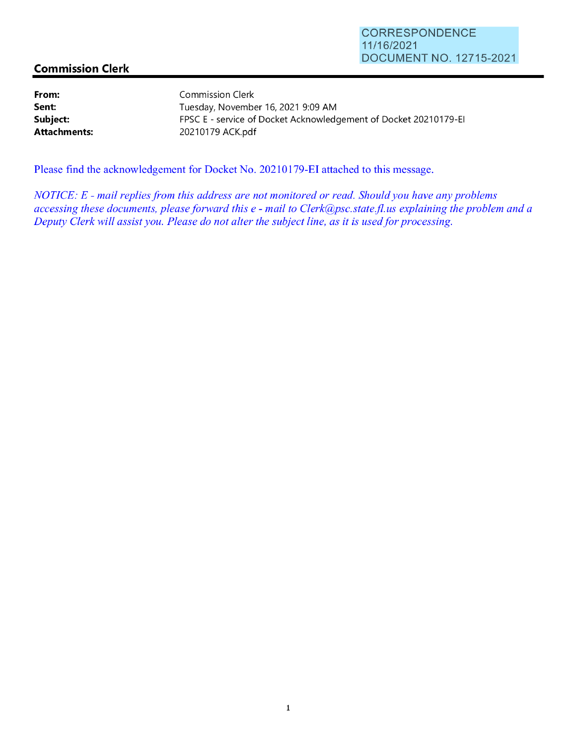## **Commission Clerk**

**From: Sent: Subject: Attachments:**  Commission Clerk

Tuesday, November 16, 2021 9:09 **AM**  FPSC E - service of Docket Acknowledgement of Docket 20210179-EI 20210179 ACK.pdf

Please find the acknowledgement for Docket No. 20210179-EI attached to this message.

*NOTICE: E* - *mail replies from this address are not monitored or read. Should you have any problems accessing these documents, please forward this e* - *mail to Clerk@psc.state.fi. us explaining the problem and a Deputy Clerk will assist you. Please do not alter the subject line, as it is used for processing.*